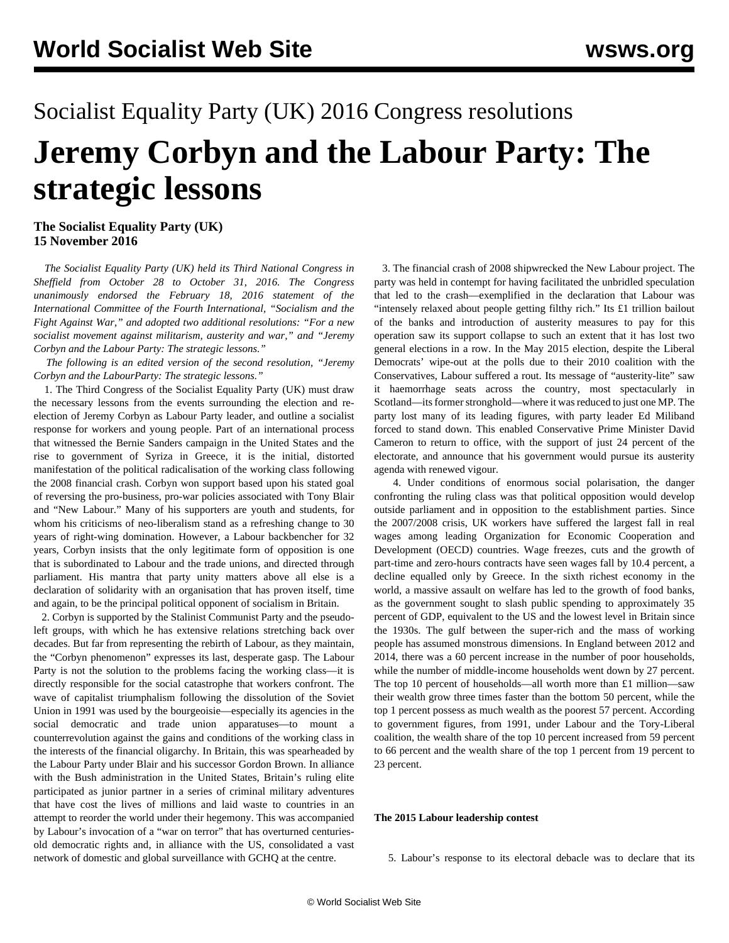# Socialist Equality Party (UK) 2016 Congress resolutions **Jeremy Corbyn and the Labour Party: The strategic lessons**

**The Socialist Equality Party (UK) 15 November 2016**

 *The Socialist Equality Party (UK) held its Third National Congress in Sheffield from October 28 to October 31, 2016. The Congress unanimously endorsed the February 18, 2016 statement of the International Committee of the Fourth International, "Socialism and the Fight Against War," and adopted two additional resolutions[: "For a new](/en/articles/2016/11/14/reso-n14.html) [socialist movement against militarism, austerity and war,"](/en/articles/2016/11/14/reso-n14.html) and "Jeremy Corbyn and the Labour Party: The strategic lessons."*

 *The following is an edited version of the second resolution, "Jeremy Corbyn and the LabourParty: The strategic lessons."*

 1. The Third Congress of the Socialist Equality Party (UK) must draw the necessary lessons from the events surrounding the election and reelection of Jeremy Corbyn as Labour Party leader, and outline a socialist response for workers and young people. Part of an international process that witnessed the Bernie Sanders campaign in the United States and the rise to government of Syriza in Greece, it is the initial, distorted manifestation of the political radicalisation of the working class following the 2008 financial crash. Corbyn won support based upon his stated goal of reversing the pro-business, pro-war policies associated with Tony Blair and "New Labour." Many of his supporters are youth and students, for whom his criticisms of neo-liberalism stand as a refreshing change to 30 years of right-wing domination. However, a Labour backbencher for 32 years, Corbyn insists that the only legitimate form of opposition is one that is subordinated to Labour and the trade unions, and directed through parliament. His mantra that party unity matters above all else is a declaration of solidarity with an organisation that has proven itself, time and again, to be the principal political opponent of socialism in Britain.

 2. Corbyn is supported by the Stalinist Communist Party and the pseudoleft groups, with which he has extensive relations stretching back over decades. But far from representing the rebirth of Labour, as they maintain, the "Corbyn phenomenon" expresses its last, desperate gasp. The Labour Party is not the solution to the problems facing the working class—it is directly responsible for the social catastrophe that workers confront. The wave of capitalist triumphalism following the dissolution of the Soviet Union in 1991 was used by the bourgeoisie—especially its agencies in the social democratic and trade union apparatuses—to mount a counterrevolution against the gains and conditions of the working class in the interests of the financial oligarchy. In Britain, this was spearheaded by the Labour Party under Blair and his successor Gordon Brown. In alliance with the Bush administration in the United States, Britain's ruling elite participated as junior partner in a series of criminal military adventures that have cost the lives of millions and laid waste to countries in an attempt to reorder the world under their hegemony. This was accompanied by Labour's invocation of a "war on terror" that has overturned centuriesold democratic rights and, in alliance with the US, consolidated a vast network of domestic and global surveillance with GCHQ at the centre.

 3. The financial crash of 2008 shipwrecked the New Labour project. The party was held in contempt for having facilitated the unbridled speculation that led to the crash—exemplified in the declaration that Labour was "intensely relaxed about people getting filthy rich." Its £1 trillion bailout of the banks and introduction of austerity measures to pay for this operation saw its support collapse to such an extent that it has lost two general elections in a row. In the May 2015 election, despite the Liberal Democrats' wipe-out at the polls due to their 2010 coalition with the Conservatives, Labour suffered a rout. Its message of "austerity-lite" saw it haemorrhage seats across the country, most spectacularly in Scotland—its former stronghold—where it was reduced to just one MP. The party lost many of its leading figures, with party leader Ed Miliband forced to stand down. This enabled Conservative Prime Minister David Cameron to return to office, with the support of just 24 percent of the electorate, and announce that his government would pursue its austerity agenda with renewed vigour.

 4. Under conditions of enormous social polarisation, the danger confronting the ruling class was that political opposition would develop outside parliament and in opposition to the establishment parties. Since the 2007/2008 crisis, UK workers have suffered the largest fall in real wages among leading Organization for Economic Cooperation and Development (OECD) countries. Wage freezes, cuts and the growth of part-time and zero-hours contracts have seen wages fall by 10.4 percent, a decline equalled only by Greece. In the sixth richest economy in the world, a massive assault on welfare has led to the growth of food banks, as the government sought to slash public spending to approximately 35 percent of GDP, equivalent to the US and the lowest level in Britain since the 1930s. The gulf between the super-rich and the mass of working people has assumed monstrous dimensions. In England between 2012 and 2014, there was a 60 percent increase in the number of poor households, while the number of middle-income households went down by 27 percent. The top 10 percent of households—all worth more than £1 million—saw their wealth grow three times faster than the bottom 50 percent, while the top 1 percent possess as much wealth as the poorest 57 percent. According to government figures, from 1991, under Labour and the Tory-Liberal coalition, the wealth share of the top 10 percent increased from 59 percent to 66 percent and the wealth share of the top 1 percent from 19 percent to 23 percent.

#### **The 2015 Labour leadership contest**

5. Labour's response to its electoral debacle was to declare that its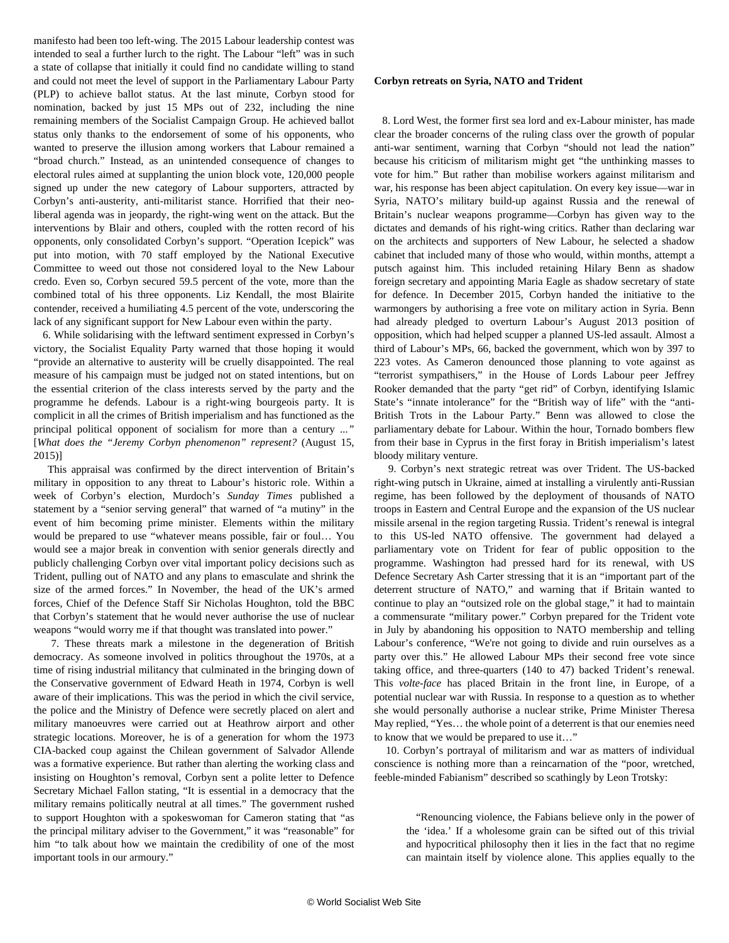manifesto had been too left-wing. The 2015 Labour leadership contest was intended to seal a further lurch to the right. The Labour "left" was in such a state of collapse that initially it could find no candidate willing to stand and could not meet the level of support in the Parliamentary Labour Party (PLP) to achieve ballot status. At the last minute, Corbyn stood for nomination, backed by just 15 MPs out of 232, including the nine remaining members of the Socialist Campaign Group. He achieved ballot status only thanks to the endorsement of some of his opponents, who wanted to preserve the illusion among workers that Labour remained a "broad church." Instead, as an unintended consequence of changes to electoral rules aimed at supplanting the union block vote, 120,000 people signed up under the new category of Labour supporters, attracted by Corbyn's anti-austerity, anti-militarist stance. Horrified that their neoliberal agenda was in jeopardy, the right-wing went on the attack. But the interventions by Blair and others, coupled with the rotten record of his opponents, only consolidated Corbyn's support. "Operation Icepick" was put into motion, with 70 staff employed by the National Executive Committee to weed out those not considered loyal to the New Labour credo. Even so, Corbyn secured 59.5 percent of the vote, more than the combined total of his three opponents. Liz Kendall, the most Blairite contender, received a humiliating 4.5 percent of the vote, underscoring the lack of any significant support for New Labour even within the party.

 6. While solidarising with the leftward sentiment expressed in Corbyn's victory, the Socialist Equality Party warned that those hoping it would "provide an alternative to austerity will be cruelly disappointed. The real measure of his campaign must be judged not on stated intentions, but on the essential criterion of the class interests served by the party and the programme he defends. Labour is a right-wing bourgeois party. It is complicit in all the crimes of British imperialism and has functioned as the principal political opponent of socialism for more than a century *..."* [*[What does the "Jeremy Corbyn phenomenon" represent?](/en/articles/2015/08/15/corb-a15.html)* (August 15, 2015)]

 This appraisal was confirmed by the direct intervention of Britain's military in opposition to any threat to Labour's historic role. Within a week of Corbyn's election, Murdoch's *Sunday Times* published a statement by a "senior serving general" that warned of "a mutiny" in the event of him becoming prime minister. Elements within the military would be prepared to use "whatever means possible, fair or foul… You would see a major break in convention with senior generals directly and publicly challenging Corbyn over vital important policy decisions such as Trident, pulling out of NATO and any plans to emasculate and shrink the size of the armed forces." In November, the head of the UK's armed forces, Chief of the Defence Staff Sir Nicholas Houghton, told the BBC that Corbyn's statement that he would never authorise the use of nuclear weapons "would worry me if that thought was translated into power."

 7. These threats mark a milestone in the degeneration of British democracy. As someone involved in politics throughout the 1970s, at a time of rising industrial militancy that culminated in the bringing down of the Conservative government of Edward Heath in 1974, Corbyn is well aware of their implications. This was the period in which the civil service, the police and the Ministry of Defence were secretly placed on alert and military manoeuvres were carried out at Heathrow airport and other strategic locations. Moreover, he is of a generation for whom the 1973 CIA-backed coup against the Chilean government of Salvador Allende was a formative experience. But rather than alerting the working class and insisting on Houghton's removal, Corbyn sent a polite letter to Defence Secretary Michael Fallon stating, "It is essential in a democracy that the military remains politically neutral at all times." The government rushed to support Houghton with a spokeswoman for Cameron stating that "as the principal military adviser to the Government," it was "reasonable" for him "to talk about how we maintain the credibility of one of the most important tools in our armoury."

## **Corbyn retreats on Syria, NATO and Trident**

 8. Lord West, the former first sea lord and ex-Labour minister, has made clear the broader concerns of the ruling class over the growth of popular anti-war sentiment, warning that Corbyn "should not lead the nation" because his criticism of militarism might get "the unthinking masses to vote for him." But rather than mobilise workers against militarism and war, his response has been abject capitulation. On every key issue—war in Syria, NATO's military build-up against Russia and the renewal of Britain's nuclear weapons programme—Corbyn has given way to the dictates and demands of his right-wing critics. Rather than declaring war on the architects and supporters of New Labour, he selected a shadow cabinet that included many of those who would, within months, attempt a putsch against him. This included retaining Hilary Benn as shadow foreign secretary and appointing Maria Eagle as shadow secretary of state for defence. In December 2015, Corbyn handed the initiative to the warmongers by authorising a free vote on military action in Syria. Benn had already pledged to overturn Labour's August 2013 position of opposition, which had helped scupper a planned US-led assault. Almost a third of Labour's MPs, 66, backed the government, which won by 397 to 223 votes. As Cameron denounced those planning to vote against as "terrorist sympathisers," in the House of Lords Labour peer Jeffrey Rooker demanded that the party "get rid" of Corbyn, identifying Islamic State's "innate intolerance" for the "British way of life" with the "anti-British Trots in the Labour Party." Benn was allowed to close the parliamentary debate for Labour. Within the hour, Tornado bombers flew from their base in Cyprus in the first foray in British imperialism's latest bloody military venture.

 9. Corbyn's next strategic retreat was over Trident. The US-backed right-wing putsch in Ukraine, aimed at installing a virulently anti-Russian regime, has been followed by the deployment of thousands of NATO troops in Eastern and Central Europe and the expansion of the US nuclear missile arsenal in the region targeting Russia. Trident's renewal is integral to this US-led NATO offensive. The government had delayed a parliamentary vote on Trident for fear of public opposition to the programme. Washington had pressed hard for its renewal, with US Defence Secretary Ash Carter stressing that it is an "important part of the deterrent structure of NATO," and warning that if Britain wanted to continue to play an "outsized role on the global stage," it had to maintain a commensurate "military power." Corbyn prepared for the Trident vote in July by abandoning his opposition to NATO membership and telling Labour's conference, "We're not going to divide and ruin ourselves as a party over this." He allowed Labour MPs their second free vote since taking office, and three-quarters (140 to 47) backed Trident's renewal. This *volte-face* has placed Britain in the front line, in Europe, of a potential nuclear war with Russia. In response to a question as to whether she would personally authorise a nuclear strike, Prime Minister Theresa May replied, "Yes… the whole point of a deterrent is that our enemies need to know that we would be prepared to use it…"

 10. Corbyn's portrayal of militarism and war as matters of individual conscience is nothing more than a reincarnation of the "poor, wretched, feeble-minded Fabianism" described so scathingly by Leon Trotsky:

 "Renouncing violence, the Fabians believe only in the power of the 'idea.' If a wholesome grain can be sifted out of this trivial and hypocritical philosophy then it lies in the fact that no regime can maintain itself by violence alone. This applies equally to the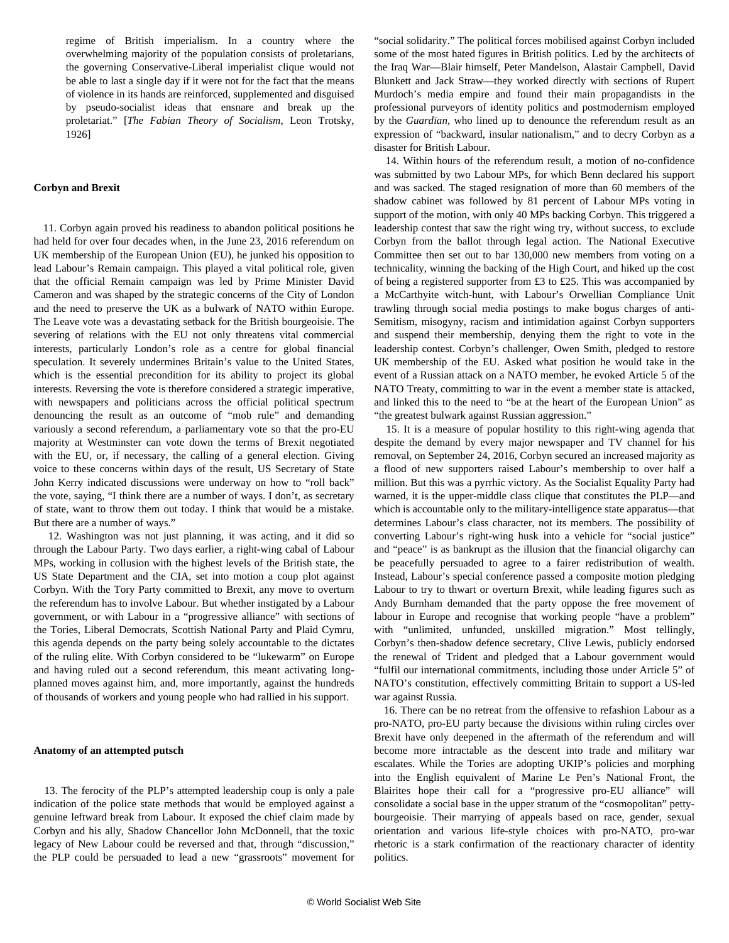regime of British imperialism. In a country where the overwhelming majority of the population consists of proletarians, the governing Conservative-Liberal imperialist clique would not be able to last a single day if it were not for the fact that the means of violence in its hands are reinforced, supplemented and disguised by pseudo-socialist ideas that ensnare and break up the proletariat." [*The Fabian Theory of Socialism*, Leon Trotsky, 1926]

## **Corbyn and Brexit**

 11. Corbyn again proved his readiness to abandon political positions he had held for over four decades when, in the June 23, 2016 referendum on UK membership of the European Union (EU), he junked his opposition to lead Labour's Remain campaign. This played a vital political role, given that the official Remain campaign was led by Prime Minister David Cameron and was shaped by the strategic concerns of the City of London and the need to preserve the UK as a bulwark of NATO within Europe. The Leave vote was a devastating setback for the British bourgeoisie. The severing of relations with the EU not only threatens vital commercial interests, particularly London's role as a centre for global financial speculation. It severely undermines Britain's value to the United States, which is the essential precondition for its ability to project its global interests. Reversing the vote is therefore considered a strategic imperative, with newspapers and politicians across the official political spectrum denouncing the result as an outcome of "mob rule" and demanding variously a second referendum, a parliamentary vote so that the pro-EU majority at Westminster can vote down the terms of Brexit negotiated with the EU, or, if necessary, the calling of a general election. Giving voice to these concerns within days of the result, US Secretary of State John Kerry indicated discussions were underway on how to "roll back" the vote, saying, "I think there are a number of ways. I don't, as secretary of state, want to throw them out today. I think that would be a mistake. But there are a number of ways."

 12. Washington was not just planning, it was acting, and it did so through the Labour Party. Two days earlier, a right-wing cabal of Labour MPs, working in collusion with the highest levels of the British state, the US State Department and the CIA, set into motion a coup plot against Corbyn. With the Tory Party committed to Brexit, any move to overturn the referendum has to involve Labour. But whether instigated by a Labour government, or with Labour in a "progressive alliance" with sections of the Tories, Liberal Democrats, Scottish National Party and Plaid Cymru, this agenda depends on the party being solely accountable to the dictates of the ruling elite. With Corbyn considered to be "lukewarm" on Europe and having ruled out a second referendum, this meant activating longplanned moves against him, and, more importantly, against the hundreds of thousands of workers and young people who had rallied in his support.

#### **Anatomy of an attempted putsch**

 13. The ferocity of the PLP's attempted leadership coup is only a pale indication of the police state methods that would be employed against a genuine leftward break from Labour. It exposed the chief claim made by Corbyn and his ally, Shadow Chancellor John McDonnell, that the toxic legacy of New Labour could be reversed and that, through "discussion," the PLP could be persuaded to lead a new "grassroots" movement for

"social solidarity." The political forces mobilised against Corbyn included some of the most hated figures in British politics. Led by the architects of the Iraq War—Blair himself, Peter Mandelson, Alastair Campbell, David Blunkett and Jack Straw—they worked directly with sections of Rupert Murdoch's media empire and found their main propagandists in the professional purveyors of identity politics and postmodernism employed by the *Guardian,* who lined up to denounce the referendum result as an expression of "backward, insular nationalism," and to decry Corbyn as a disaster for British Labour.

 14. Within hours of the referendum result, a motion of no-confidence was submitted by two Labour MPs, for which Benn declared his support and was sacked. The staged resignation of more than 60 members of the shadow cabinet was followed by 81 percent of Labour MPs voting in support of the motion, with only 40 MPs backing Corbyn. This triggered a leadership contest that saw the right wing try, without success, to exclude Corbyn from the ballot through legal action. The National Executive Committee then set out to bar 130,000 new members from voting on a technicality, winning the backing of the High Court, and hiked up the cost of being a registered supporter from £3 to £25. This was accompanied by a McCarthyite witch-hunt, with Labour's Orwellian Compliance Unit trawling through social media postings to make bogus charges of anti-Semitism, misogyny, racism and intimidation against Corbyn supporters and suspend their membership, denying them the right to vote in the leadership contest. Corbyn's challenger, Owen Smith, pledged to restore UK membership of the EU. Asked what position he would take in the event of a Russian attack on a NATO member, he evoked Article 5 of the NATO Treaty, committing to war in the event a member state is attacked, and linked this to the need to "be at the heart of the European Union" as "the greatest bulwark against Russian aggression."

 15. It is a measure of popular hostility to this right-wing agenda that despite the demand by every major newspaper and TV channel for his removal, on September 24, 2016, Corbyn secured an increased majority as a flood of new supporters raised Labour's membership to over half a million. But this was a pyrrhic victory. As the Socialist Equality Party had warned, it is the upper-middle class clique that constitutes the PLP—and which is accountable only to the military-intelligence state apparatus—that determines Labour's class character, not its members. The possibility of converting Labour's right-wing husk into a vehicle for "social justice" and "peace" is as bankrupt as the illusion that the financial oligarchy can be peacefully persuaded to agree to a fairer redistribution of wealth. Instead, Labour's special conference passed a composite motion pledging Labour to try to thwart or overturn Brexit, while leading figures such as Andy Burnham demanded that the party oppose the free movement of labour in Europe and recognise that working people "have a problem" with "unlimited, unfunded, unskilled migration." Most tellingly, Corbyn's then-shadow defence secretary, Clive Lewis, publicly endorsed the renewal of Trident and pledged that a Labour government would "fulfil our international commitments, including those under Article 5" of NATO's constitution, effectively committing Britain to support a US-led war against Russia.

 16. There can be no retreat from the offensive to refashion Labour as a pro-NATO, pro-EU party because the divisions within ruling circles over Brexit have only deepened in the aftermath of the referendum and will become more intractable as the descent into trade and military war escalates. While the Tories are adopting UKIP's policies and morphing into the English equivalent of Marine Le Pen's National Front, the Blairites hope their call for a "progressive pro-EU alliance" will consolidate a social base in the upper stratum of the "cosmopolitan" pettybourgeoisie. Their marrying of appeals based on race, gender, sexual orientation and various life-style choices with pro-NATO, pro-war rhetoric is a stark confirmation of the reactionary character of identity politics.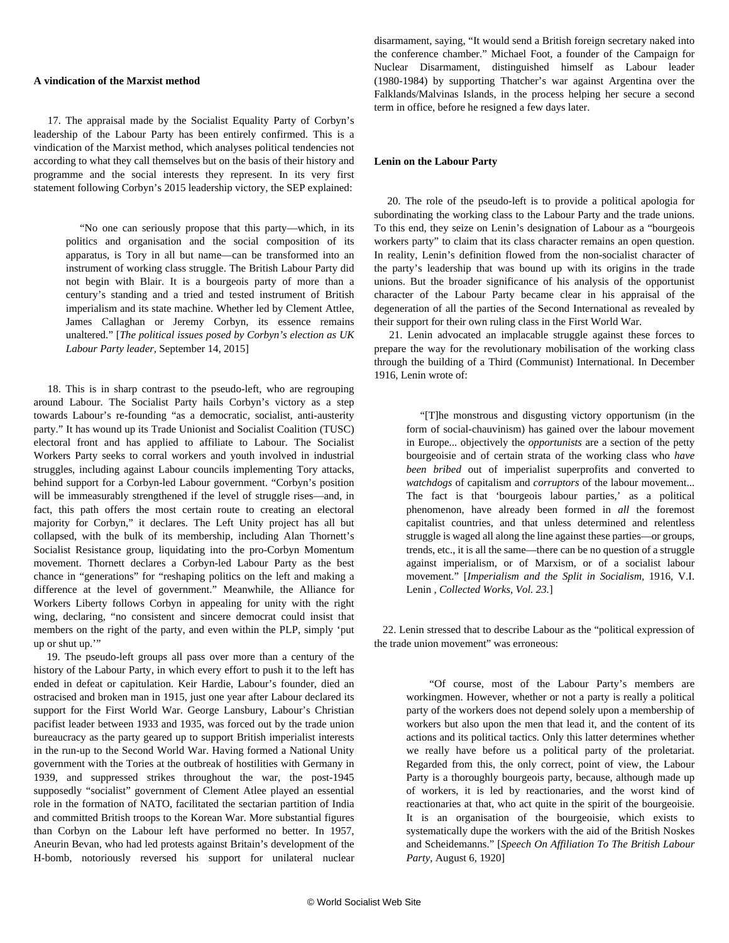## **A vindication of the Marxist method**

 17. The appraisal made by the Socialist Equality Party of Corbyn's leadership of the Labour Party has been entirely confirmed. This is a vindication of the Marxist method, which analyses political tendencies not according to what they call themselves but on the basis of their history and programme and the social interests they represent. In its very first statement following Corbyn's 2015 leadership victory, the SEP explained:

 "No one can seriously propose that this party—which, in its politics and organisation and the social composition of its apparatus, is Tory in all but name—can be transformed into an instrument of working class struggle. The British Labour Party did not begin with Blair. It is a bourgeois party of more than a century's standing and a tried and tested instrument of British imperialism and its state machine. Whether led by Clement Attlee, James Callaghan or Jeremy Corbyn, its essence remains unaltered." [*[The political issues posed by Corbyn's election as UK](/en/articles/2015/09/14/pers-s14.html) [Labour Party leader](/en/articles/2015/09/14/pers-s14.html),* September 14, 2015]

 18. This is in sharp contrast to the pseudo-left, who are regrouping around Labour. The Socialist Party hails Corbyn's victory as a step towards Labour's re-founding "as a democratic, socialist, anti-austerity party." It has wound up its Trade Unionist and Socialist Coalition (TUSC) electoral front and has applied to affiliate to Labour. The Socialist Workers Party seeks to corral workers and youth involved in industrial struggles, including against Labour councils implementing Tory attacks, behind support for a Corbyn-led Labour government. "Corbyn's position will be immeasurably strengthened if the level of struggle rises—and, in fact, this path offers the most certain route to creating an electoral majority for Corbyn," it declares. The Left Unity project has all but collapsed, with the bulk of its membership, including Alan Thornett's Socialist Resistance group, liquidating into the pro-Corbyn Momentum movement. Thornett declares a Corbyn-led Labour Party as the best chance in "generations" for "reshaping politics on the left and making a difference at the level of government." Meanwhile, the Alliance for Workers Liberty follows Corbyn in appealing for unity with the right wing, declaring, "no consistent and sincere democrat could insist that members on the right of the party, and even within the PLP, simply 'put up or shut up.'"

 19. The pseudo-left groups all pass over more than a century of the history of the Labour Party, in which every effort to push it to the left has ended in defeat or capitulation. Keir Hardie, Labour's founder, died an ostracised and broken man in 1915, just one year after Labour declared its support for the First World War. George Lansbury, Labour's Christian pacifist leader between 1933 and 1935, was forced out by the trade union bureaucracy as the party geared up to support British imperialist interests in the run-up to the Second World War. Having formed a National Unity government with the Tories at the outbreak of hostilities with Germany in 1939, and suppressed strikes throughout the war, the post-1945 supposedly "socialist" government of Clement Atlee played an essential role in the formation of NATO, facilitated the sectarian partition of India and committed British troops to the Korean War. More substantial figures than Corbyn on the Labour left have performed no better. In 1957, Aneurin Bevan, who had led protests against Britain's development of the H-bomb, notoriously reversed his support for unilateral nuclear disarmament, saying, "It would send a British foreign secretary naked into the conference chamber." Michael Foot, a founder of the Campaign for Nuclear Disarmament, distinguished himself as Labour leader (1980-1984) by supporting Thatcher's war against Argentina over the Falklands/Malvinas Islands, in the process helping her secure a second term in office, before he resigned a few days later.

## **Lenin on the Labour Party**

 20. The role of the pseudo-left is to provide a political apologia for subordinating the working class to the Labour Party and the trade unions. To this end, they seize on Lenin's designation of Labour as a "bourgeois workers party" to claim that its class character remains an open question. In reality, Lenin's definition flowed from the non-socialist character of the party's leadership that was bound up with its origins in the trade unions. But the broader significance of his analysis of the opportunist character of the Labour Party became clear in his appraisal of the degeneration of all the parties of the Second International as revealed by their support for their own ruling class in the First World War.

 21. Lenin advocated an implacable struggle against these forces to prepare the way for the revolutionary mobilisation of the working class through the building of a Third (Communist) International. In December 1916, Lenin wrote of:

 "[T]he monstrous and disgusting victory opportunism (in the form of social-chauvinism) has gained over the labour movement in Europe... objectively the *opportunists* are a section of the petty bourgeoisie and of certain strata of the working class who *have been bribed* out of imperialist superprofits and converted to *watchdogs* of capitalism and *corruptors* of the labour movement... The fact is that 'bourgeois labour parties,' as a political phenomenon, have already been formed in *all* the foremost capitalist countries, and that unless determined and relentless struggle is waged all along the line against these parties—or groups, trends, etc., it is all the same—there can be no question of a struggle against imperialism, or of Marxism, or of a socialist labour movement." [*Imperialism and the Split in Socialism,* 1916, V.I. Lenin *, Collected Works, Vol. 23.*]

 22. Lenin stressed that to describe Labour as the "political expression of the trade union movement" was erroneous:

 "Of course, most of the Labour Party's members are workingmen. However, whether or not a party is really a political party of the workers does not depend solely upon a membership of workers but also upon the men that lead it, and the content of its actions and its political tactics. Only this latter determines whether we really have before us a political party of the proletariat. Regarded from this, the only correct, point of view, the Labour Party is a thoroughly bourgeois party, because, although made up of workers, it is led by reactionaries, and the worst kind of reactionaries at that, who act quite in the spirit of the bourgeoisie. It is an organisation of the bourgeoisie, which exists to systematically dupe the workers with the aid of the British Noskes and Scheidemanns." [*Speech On Affiliation To The British Labour Party*, August 6, 1920]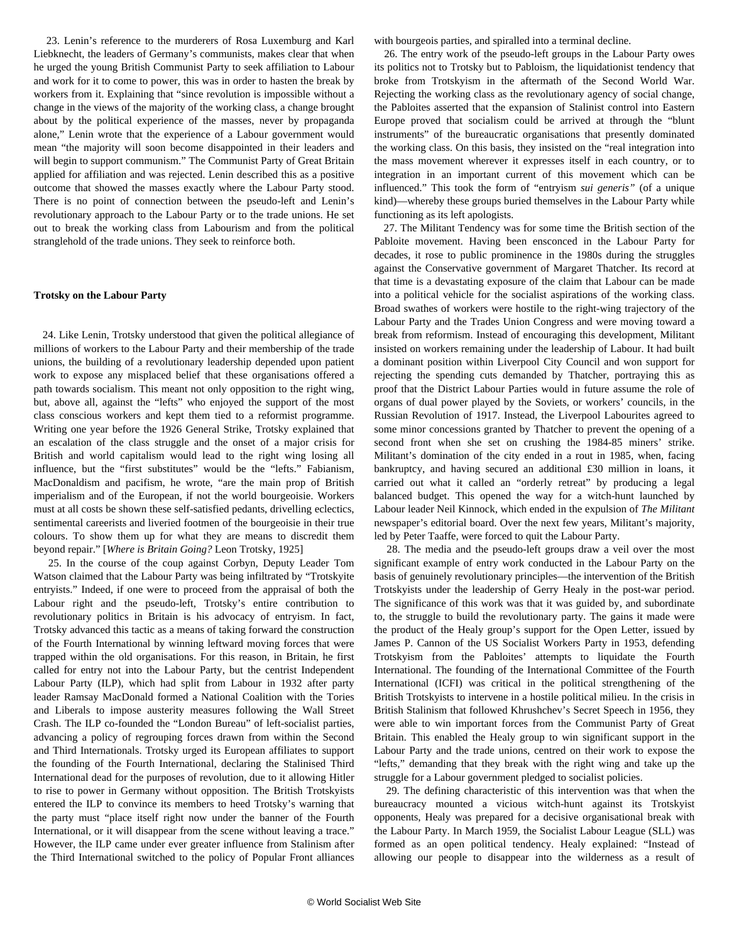23. Lenin's reference to the murderers of Rosa Luxemburg and Karl Liebknecht, the leaders of Germany's communists, makes clear that when he urged the young British Communist Party to seek affiliation to Labour and work for it to come to power, this was in order to hasten the break by workers from it. Explaining that "since revolution is impossible without a change in the views of the majority of the working class, a change brought about by the political experience of the masses, never by propaganda alone," Lenin wrote that the experience of a Labour government would mean "the majority will soon become disappointed in their leaders and will begin to support communism." The Communist Party of Great Britain applied for affiliation and was rejected. Lenin described this as a positive outcome that showed the masses exactly where the Labour Party stood. There is no point of connection between the pseudo-left and Lenin's revolutionary approach to the Labour Party or to the trade unions. He set out to break the working class from Labourism and from the political stranglehold of the trade unions. They seek to reinforce both.

#### **Trotsky on the Labour Party**

 24. Like Lenin, Trotsky understood that given the political allegiance of millions of workers to the Labour Party and their membership of the trade unions, the building of a revolutionary leadership depended upon patient work to expose any misplaced belief that these organisations offered a path towards socialism. This meant not only opposition to the right wing, but, above all, against the "lefts" who enjoyed the support of the most class conscious workers and kept them tied to a reformist programme. Writing one year before the 1926 General Strike, Trotsky explained that an escalation of the class struggle and the onset of a major crisis for British and world capitalism would lead to the right wing losing all influence, but the "first substitutes" would be the "lefts." Fabianism, MacDonaldism and pacifism, he wrote, "are the main prop of British imperialism and of the European, if not the world bourgeoisie. Workers must at all costs be shown these self-satisfied pedants, drivelling eclectics, sentimental careerists and liveried footmen of the bourgeoisie in their true colours. To show them up for what they are means to discredit them beyond repair." [*Where is Britain Going?* Leon Trotsky, 1925]

 25. In the course of the coup against Corbyn, Deputy Leader Tom Watson claimed that the Labour Party was being infiltrated by "Trotskyite entryists." Indeed, if one were to proceed from the appraisal of both the Labour right and the pseudo-left, Trotsky's entire contribution to revolutionary politics in Britain is his advocacy of entryism. In fact, Trotsky advanced this tactic as a means of taking forward the construction of the Fourth International by winning leftward moving forces that were trapped within the old organisations. For this reason, in Britain, he first called for entry not into the Labour Party, but the centrist Independent Labour Party (ILP), which had split from Labour in 1932 after party leader Ramsay MacDonald formed a National Coalition with the Tories and Liberals to impose austerity measures following the Wall Street Crash. The ILP co-founded the "London Bureau" of left-socialist parties, advancing a policy of regrouping forces drawn from within the Second and Third Internationals. Trotsky urged its European affiliates to support the founding of the Fourth International, declaring the Stalinised Third International dead for the purposes of revolution, due to it allowing Hitler to rise to power in Germany without opposition. The British Trotskyists entered the ILP to convince its members to heed Trotsky's warning that the party must "place itself right now under the banner of the Fourth International, or it will disappear from the scene without leaving a trace." However, the ILP came under ever greater influence from Stalinism after the Third International switched to the policy of Popular Front alliances

with bourgeois parties, and spiralled into a terminal decline.

 26. The entry work of the pseudo-left groups in the Labour Party owes its politics not to Trotsky but to Pabloism, the liquidationist tendency that broke from Trotskyism in the aftermath of the Second World War. Rejecting the working class as the revolutionary agency of social change, the Pabloites asserted that the expansion of Stalinist control into Eastern Europe proved that socialism could be arrived at through the "blunt instruments" of the bureaucratic organisations that presently dominated the working class. On this basis, they insisted on the "real integration into the mass movement wherever it expresses itself in each country, or to integration in an important current of this movement which can be influenced." This took the form of "entryism *sui generis"* (of a unique kind)—whereby these groups buried themselves in the Labour Party while functioning as its left apologists.

 27. The Militant Tendency was for some time the British section of the Pabloite movement. Having been ensconced in the Labour Party for decades, it rose to public prominence in the 1980s during the struggles against the Conservative government of Margaret Thatcher. Its record at that time is a devastating exposure of the claim that Labour can be made into a political vehicle for the socialist aspirations of the working class. Broad swathes of workers were hostile to the right-wing trajectory of the Labour Party and the Trades Union Congress and were moving toward a break from reformism. Instead of encouraging this development, Militant insisted on workers remaining under the leadership of Labour. It had built a dominant position within Liverpool City Council and won support for rejecting the spending cuts demanded by Thatcher, portraying this as proof that the District Labour Parties would in future assume the role of organs of dual power played by the Soviets, or workers' councils, in the Russian Revolution of 1917. Instead, the Liverpool Labourites agreed to some minor concessions granted by Thatcher to prevent the opening of a second front when she set on crushing the 1984-85 miners' strike. Militant's domination of the city ended in a rout in 1985, when, facing bankruptcy, and having secured an additional £30 million in loans, it carried out what it called an "orderly retreat" by producing a legal balanced budget. This opened the way for a witch-hunt launched by Labour leader Neil Kinnock, which ended in the expulsion of *The Militant* newspaper's editorial board. Over the next few years, Militant's majority, led by Peter Taaffe, were forced to quit the Labour Party.

 28. The media and the pseudo-left groups draw a veil over the most significant example of entry work conducted in the Labour Party on the basis of genuinely revolutionary principles—the intervention of the British Trotskyists under the leadership of Gerry Healy in the post-war period. The significance of this work was that it was guided by, and subordinate to, the struggle to build the revolutionary party. The gains it made were the product of the Healy group's support for the Open Letter, issued by James P. Cannon of the US Socialist Workers Party in 1953, defending Trotskyism from the Pabloites' attempts to liquidate the Fourth International. The founding of the International Committee of the Fourth International (ICFI) was critical in the political strengthening of the British Trotskyists to intervene in a hostile political milieu. In the crisis in British Stalinism that followed Khrushchev's Secret Speech in 1956, they were able to win important forces from the Communist Party of Great Britain. This enabled the Healy group to win significant support in the Labour Party and the trade unions, centred on their work to expose the "lefts," demanding that they break with the right wing and take up the struggle for a Labour government pledged to socialist policies.

 29. The defining characteristic of this intervention was that when the bureaucracy mounted a vicious witch-hunt against its Trotskyist opponents, Healy was prepared for a decisive organisational break with the Labour Party. In March 1959, the Socialist Labour League (SLL) was formed as an open political tendency. Healy explained: "Instead of allowing our people to disappear into the wilderness as a result of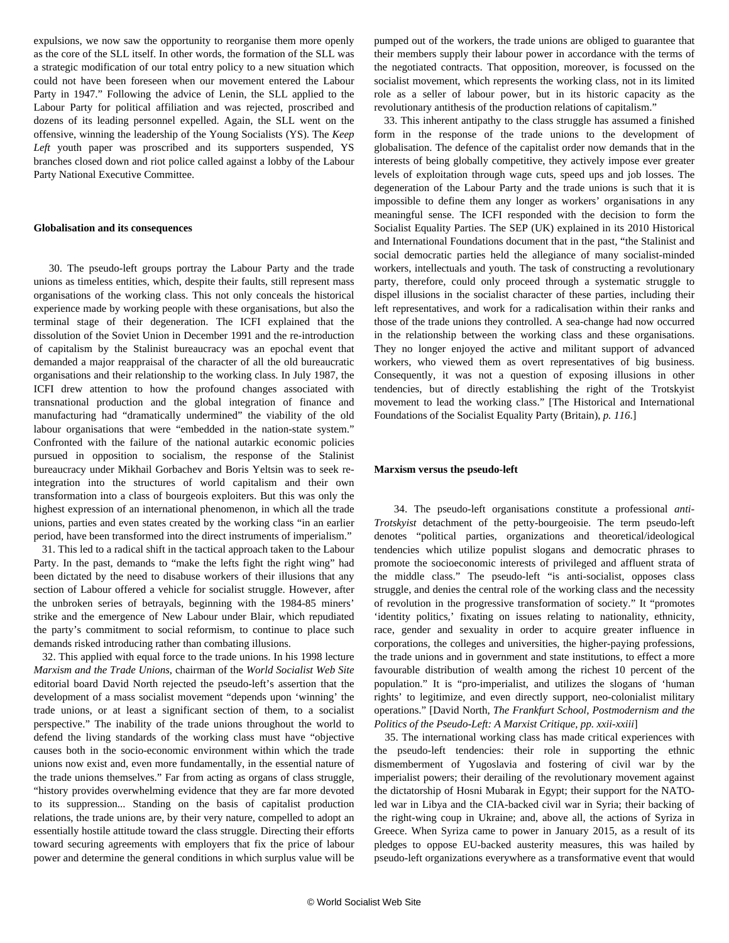expulsions, we now saw the opportunity to reorganise them more openly as the core of the SLL itself. In other words, the formation of the SLL was a strategic modification of our total entry policy to a new situation which could not have been foreseen when our movement entered the Labour Party in 1947." Following the advice of Lenin, the SLL applied to the Labour Party for political affiliation and was rejected, proscribed and dozens of its leading personnel expelled. Again, the SLL went on the offensive, winning the leadership of the Young Socialists (YS). The *Keep Left* youth paper was proscribed and its supporters suspended, YS branches closed down and riot police called against a lobby of the Labour Party National Executive Committee.

#### **Globalisation and its consequences**

 30. The pseudo-left groups portray the Labour Party and the trade unions as timeless entities, which, despite their faults, still represent mass organisations of the working class. This not only conceals the historical experience made by working people with these organisations, but also the terminal stage of their degeneration. The ICFI explained that the dissolution of the Soviet Union in December 1991 and the re-introduction of capitalism by the Stalinist bureaucracy was an epochal event that demanded a major reappraisal of the character of all the old bureaucratic organisations and their relationship to the working class. In July 1987, the ICFI drew attention to how the profound changes associated with transnational production and the global integration of finance and manufacturing had "dramatically undermined" the viability of the old labour organisations that were "embedded in the nation-state system." Confronted with the failure of the national autarkic economic policies pursued in opposition to socialism, the response of the Stalinist bureaucracy under Mikhail Gorbachev and Boris Yeltsin was to seek reintegration into the structures of world capitalism and their own transformation into a class of bourgeois exploiters. But this was only the highest expression of an international phenomenon, in which all the trade unions, parties and even states created by the working class "in an earlier period, have been transformed into the direct instruments of imperialism."

 31. This led to a radical shift in the tactical approach taken to the Labour Party. In the past, demands to "make the lefts fight the right wing" had been dictated by the need to disabuse workers of their illusions that any section of Labour offered a vehicle for socialist struggle. However, after the unbroken series of betrayals, beginning with the 1984-85 miners' strike and the emergence of New Labour under Blair, which repudiated the party's commitment to social reformism, to continue to place such demands risked introducing rather than combating illusions.

 32. This applied with equal force to the trade unions. In his 1998 lecture *[Marxism and the Trade Unions](/en/articles/2014/08/01/unfi-a01.html)*, chairman of the *World Socialist Web Site* editorial board David North rejected the pseudo-left's assertion that the development of a mass socialist movement "depends upon 'winning' the trade unions, or at least a significant section of them, to a socialist perspective." The inability of the trade unions throughout the world to defend the living standards of the working class must have "objective causes both in the socio-economic environment within which the trade unions now exist and, even more fundamentally, in the essential nature of the trade unions themselves." Far from acting as organs of class struggle, "history provides overwhelming evidence that they are far more devoted to its suppression... Standing on the basis of capitalist production relations, the trade unions are, by their very nature, compelled to adopt an essentially hostile attitude toward the class struggle. Directing their efforts toward securing agreements with employers that fix the price of labour power and determine the general conditions in which surplus value will be

pumped out of the workers, the trade unions are obliged to guarantee that their members supply their labour power in accordance with the terms of the negotiated contracts. That opposition, moreover, is focussed on the socialist movement, which represents the working class, not in its limited role as a seller of labour power, but in its historic capacity as the revolutionary antithesis of the production relations of capitalism."

 33. This inherent antipathy to the class struggle has assumed a finished form in the response of the trade unions to the development of globalisation. The defence of the capitalist order now demands that in the interests of being globally competitive, they actively impose ever greater levels of exploitation through wage cuts, speed ups and job losses. The degeneration of the Labour Party and the trade unions is such that it is impossible to define them any longer as workers' organisations in any meaningful sense. The ICFI responded with the decision to form the Socialist Equality Parties. The SEP (UK) explained in its 2010 Historical and International Foundations document that in the past, "the Stalinist and social democratic parties held the allegiance of many socialist-minded workers, intellectuals and youth. The task of constructing a revolutionary party, therefore, could only proceed through a systematic struggle to dispel illusions in the socialist character of these parties, including their left representatives, and work for a radicalisation within their ranks and those of the trade unions they controlled. A sea-change had now occurred in the relationship between the working class and these organisations. They no longer enjoyed the active and militant support of advanced workers, who viewed them as overt representatives of big business. Consequently, it was not a question of exposing illusions in other tendencies, but of directly establishing the right of the Trotskyist movement to lead the working class." [\[The Historical and International](http://socialequality.org.uk/programme/historical-foundations/) [Foundations of the Socialist Equality Party](http://socialequality.org.uk/programme/historical-foundations/) (Britain), *p. 116*.]

#### **Marxism versus the pseudo-left**

 34. The pseudo-left organisations constitute a professional *anti-Trotskyist* detachment of the petty-bourgeoisie. The term pseudo-left denotes "political parties, organizations and theoretical/ideological tendencies which utilize populist slogans and democratic phrases to promote the socioeconomic interests of privileged and affluent strata of the middle class." The pseudo-left "is anti-socialist, opposes class struggle, and denies the central role of the working class and the necessity of revolution in the progressive transformation of society." It "promotes 'identity politics,' fixating on issues relating to nationality, ethnicity, race, gender and sexuality in order to acquire greater influence in corporations, the colleges and universities, the higher-paying professions, the trade unions and in government and state institutions, to effect a more favourable distribution of wealth among the richest 10 percent of the population." It is "pro-imperialist, and utilizes the slogans of 'human rights' to legitimize, and even directly support, neo-colonialist military operations." [David North, *[The Frankfurt School, Postmodernism and the](/en/articles/2015/07/21/dnbo-j21.html) [Politics of the Pseudo-Left: A Marxist Critique](/en/articles/2015/07/21/dnbo-j21.html), pp. xxii-xxiii*]

 35. The international working class has made critical experiences with the pseudo-left tendencies: their role in supporting the ethnic dismemberment of Yugoslavia and fostering of civil war by the imperialist powers; their derailing of the revolutionary movement against the dictatorship of Hosni Mubarak in Egypt; their support for the NATOled war in Libya and the CIA-backed civil war in Syria; their backing of the right-wing coup in Ukraine; and, above all, the actions of Syriza in Greece. When Syriza came to power in January 2015, as a result of its pledges to oppose EU-backed austerity measures, this was hailed by pseudo-left organizations everywhere as a transformative event that would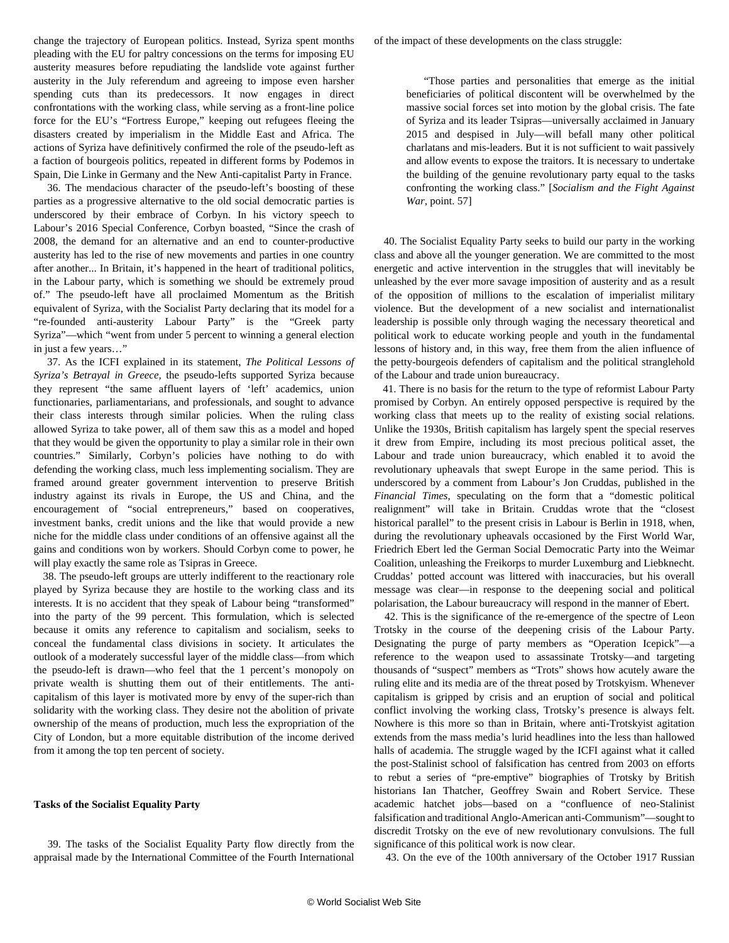change the trajectory of European politics. Instead, Syriza spent months pleading with the EU for paltry concessions on the terms for imposing EU austerity measures before repudiating the landslide vote against further austerity in the July referendum and agreeing to impose even harsher spending cuts than its predecessors. It now engages in direct confrontations with the working class, while serving as a front-line police force for the EU's "Fortress Europe," keeping out refugees fleeing the disasters created by imperialism in the Middle East and Africa. The actions of Syriza have definitively confirmed the role of the pseudo-left as a faction of bourgeois politics, repeated in different forms by Podemos in Spain, Die Linke in Germany and the New Anti-capitalist Party in France.

 36. The mendacious character of the pseudo-left's boosting of these parties as a progressive alternative to the old social democratic parties is underscored by their embrace of Corbyn. In his victory speech to Labour's 2016 Special Conference, Corbyn boasted, "Since the crash of 2008, the demand for an alternative and an end to counter-productive austerity has led to the rise of new movements and parties in one country after another... In Britain, it's happened in the heart of traditional politics, in the Labour party, which is something we should be extremely proud of." The pseudo-left have all proclaimed Momentum as the British equivalent of Syriza, with the Socialist Party declaring that its model for a "re-founded anti-austerity Labour Party" is the "Greek party Syriza"—which "went from under 5 percent to winning a general election in just a few years…"

 37. As the ICFI explained in its statement, *[The Political Lessons of](/en/articles/2015/11/13/icfi-n13.html) [Syriza's Betrayal in Greece](/en/articles/2015/11/13/icfi-n13.html),* the pseudo-lefts supported Syriza because they represent "the same affluent layers of 'left' academics, union functionaries, parliamentarians, and professionals, and sought to advance their class interests through similar policies. When the ruling class allowed Syriza to take power, all of them saw this as a model and hoped that they would be given the opportunity to play a similar role in their own countries." Similarly, Corbyn's policies have nothing to do with defending the working class, much less implementing socialism. They are framed around greater government intervention to preserve British industry against its rivals in Europe, the US and China, and the encouragement of "social entrepreneurs," based on cooperatives, investment banks, credit unions and the like that would provide a new niche for the middle class under conditions of an offensive against all the gains and conditions won by workers. Should Corbyn come to power, he will play exactly the same role as Tsipras in Greece.

 38. The pseudo-left groups are utterly indifferent to the reactionary role played by Syriza because they are hostile to the working class and its interests. It is no accident that they speak of Labour being "transformed" into the party of the 99 percent. This formulation, which is selected because it omits any reference to capitalism and socialism, seeks to conceal the fundamental class divisions in society. It articulates the outlook of a moderately successful layer of the middle class—from which the pseudo-left is drawn—who feel that the 1 percent's monopoly on private wealth is shutting them out of their entitlements. The anticapitalism of this layer is motivated more by envy of the super-rich than solidarity with the working class. They desire not the abolition of private ownership of the means of production, much less the expropriation of the City of London, but a more equitable distribution of the income derived from it among the top ten percent of society.

# **Tasks of the Socialist Equality Party**

 39. The tasks of the Socialist Equality Party flow directly from the appraisal made by the International Committee of the Fourth International of the impact of these developments on the class struggle:

 "Those parties and personalities that emerge as the initial beneficiaries of political discontent will be overwhelmed by the massive social forces set into motion by the global crisis. The fate of Syriza and its leader Tsipras—universally acclaimed in January 2015 and despised in July—will befall many other political charlatans and mis-leaders. But it is not sufficient to wait passively and allow events to expose the traitors. It is necessary to undertake the building of the genuine revolutionary party equal to the tasks confronting the working class." [*[Socialism and the Fight Against](/en/articles/2016/02/18/icfi-f18.html) [War](/en/articles/2016/02/18/icfi-f18.html)*, point. 57]

 40. The Socialist Equality Party seeks to build our party in the working class and above all the younger generation. We are committed to the most energetic and active intervention in the struggles that will inevitably be unleashed by the ever more savage imposition of austerity and as a result of the opposition of millions to the escalation of imperialist military violence. But the development of a new socialist and internationalist leadership is possible only through waging the necessary theoretical and political work to educate working people and youth in the fundamental lessons of history and, in this way, free them from the alien influence of the petty-bourgeois defenders of capitalism and the political stranglehold of the Labour and trade union bureaucracy.

 41. There is no basis for the return to the type of reformist Labour Party promised by Corbyn. An entirely opposed perspective is required by the working class that meets up to the reality of existing social relations. Unlike the 1930s, British capitalism has largely spent the special reserves it drew from Empire, including its most precious political asset, the Labour and trade union bureaucracy, which enabled it to avoid the revolutionary upheavals that swept Europe in the same period. This is underscored by a comment from Labour's Jon Cruddas, published in the *Financial Times*, speculating on the form that a "domestic political realignment" will take in Britain. Cruddas wrote that the "closest historical parallel" to the present crisis in Labour is Berlin in 1918, when, during the revolutionary upheavals occasioned by the First World War, Friedrich Ebert led the German Social Democratic Party into the Weimar Coalition, unleashing the Freikorps to murder Luxemburg and Liebknecht. Cruddas' potted account was littered with inaccuracies, but his overall message was clear—in response to the deepening social and political polarisation, the Labour bureaucracy will respond in the manner of Ebert.

 42. This is the significance of the re-emergence of the spectre of Leon Trotsky in the course of the deepening crisis of the Labour Party. Designating the purge of party members as "Operation Icepick"—a reference to the weapon used to assassinate Trotsky—and targeting thousands of "suspect" members as "Trots" shows how acutely aware the ruling elite and its media are of the threat posed by Trotskyism. Whenever capitalism is gripped by crisis and an eruption of social and political conflict involving the working class, Trotsky's presence is always felt. Nowhere is this more so than in Britain, where anti-Trotskyist agitation extends from the mass media's lurid headlines into the less than hallowed halls of academia. The struggle waged by the ICFI against what it called the post-Stalinist school of falsification has centred from 2003 on efforts to rebut a series of "pre-emptive" biographies of Trotsky by British historians Ian Thatcher, Geoffrey Swain and Robert Service. These academic hatchet jobs—based on a "confluence of neo-Stalinist falsification and traditional Anglo-American anti-Communism"—sought to discredit Trotsky on the eve of new revolutionary convulsions. The full significance of this political work is now clear.

43. On the eve of the 100th anniversary of the October 1917 Russian